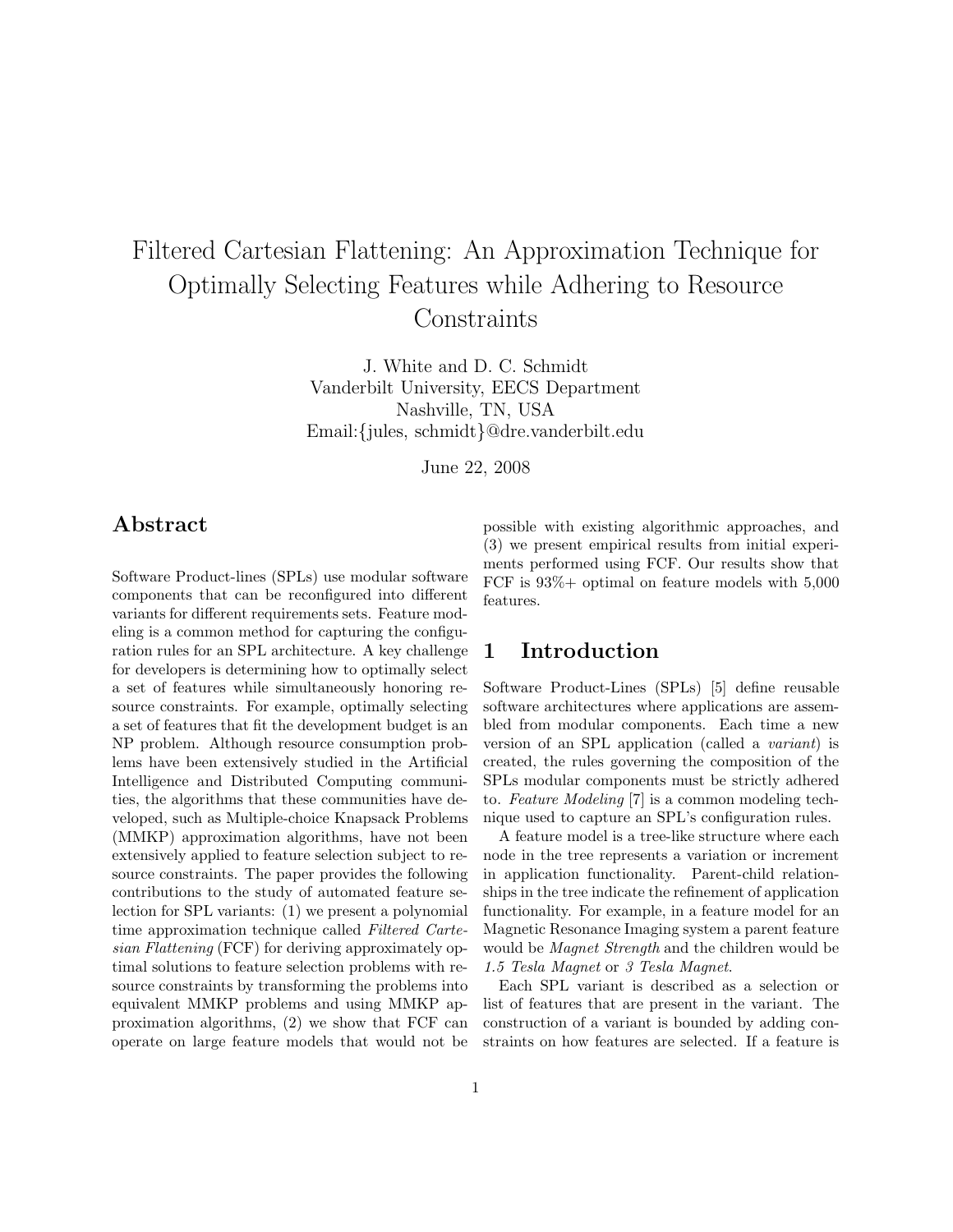# Filtered Cartesian Flattening: An Approximation Technique for Optimally Selecting Features while Adhering to Resource **Constraints**

J. White and D. C. Schmidt Vanderbilt University, EECS Department Nashville, TN, USA Email:{jules, schmidt}@dre.vanderbilt.edu

June 22, 2008

# Abstract

Software Product-lines (SPLs) use modular software components that can be reconfigured into different variants for different requirements sets. Feature modeling is a common method for capturing the configuration rules for an SPL architecture. A key challenge for developers is determining how to optimally select a set of features while simultaneously honoring resource constraints. For example, optimally selecting a set of features that fit the development budget is an NP problem. Although resource consumption problems have been extensively studied in the Artificial Intelligence and Distributed Computing communities, the algorithms that these communities have developed, such as Multiple-choice Knapsack Problems (MMKP) approximation algorithms, have not been extensively applied to feature selection subject to resource constraints. The paper provides the following contributions to the study of automated feature selection for SPL variants: (1) we present a polynomial time approximation technique called Filtered Cartesian Flattening (FCF) for deriving approximately optimal solutions to feature selection problems with resource constraints by transforming the problems into equivalent MMKP problems and using MMKP approximation algorithms, (2) we show that FCF can operate on large feature models that would not be possible with existing algorithmic approaches, and (3) we present empirical results from initial experiments performed using FCF. Our results show that FCF is 93%+ optimal on feature models with 5,000 features.

## 1 Introduction

Software Product-Lines (SPLs) [5] define reusable software architectures where applications are assembled from modular components. Each time a new version of an SPL application (called a variant) is created, the rules governing the composition of the SPLs modular components must be strictly adhered to. Feature Modeling [7] is a common modeling technique used to capture an SPL's configuration rules.

A feature model is a tree-like structure where each node in the tree represents a variation or increment in application functionality. Parent-child relationships in the tree indicate the refinement of application functionality. For example, in a feature model for an Magnetic Resonance Imaging system a parent feature would be Magnet Strength and the children would be 1.5 Tesla Magnet or 3 Tesla Magnet.

Each SPL variant is described as a selection or list of features that are present in the variant. The construction of a variant is bounded by adding constraints on how features are selected. If a feature is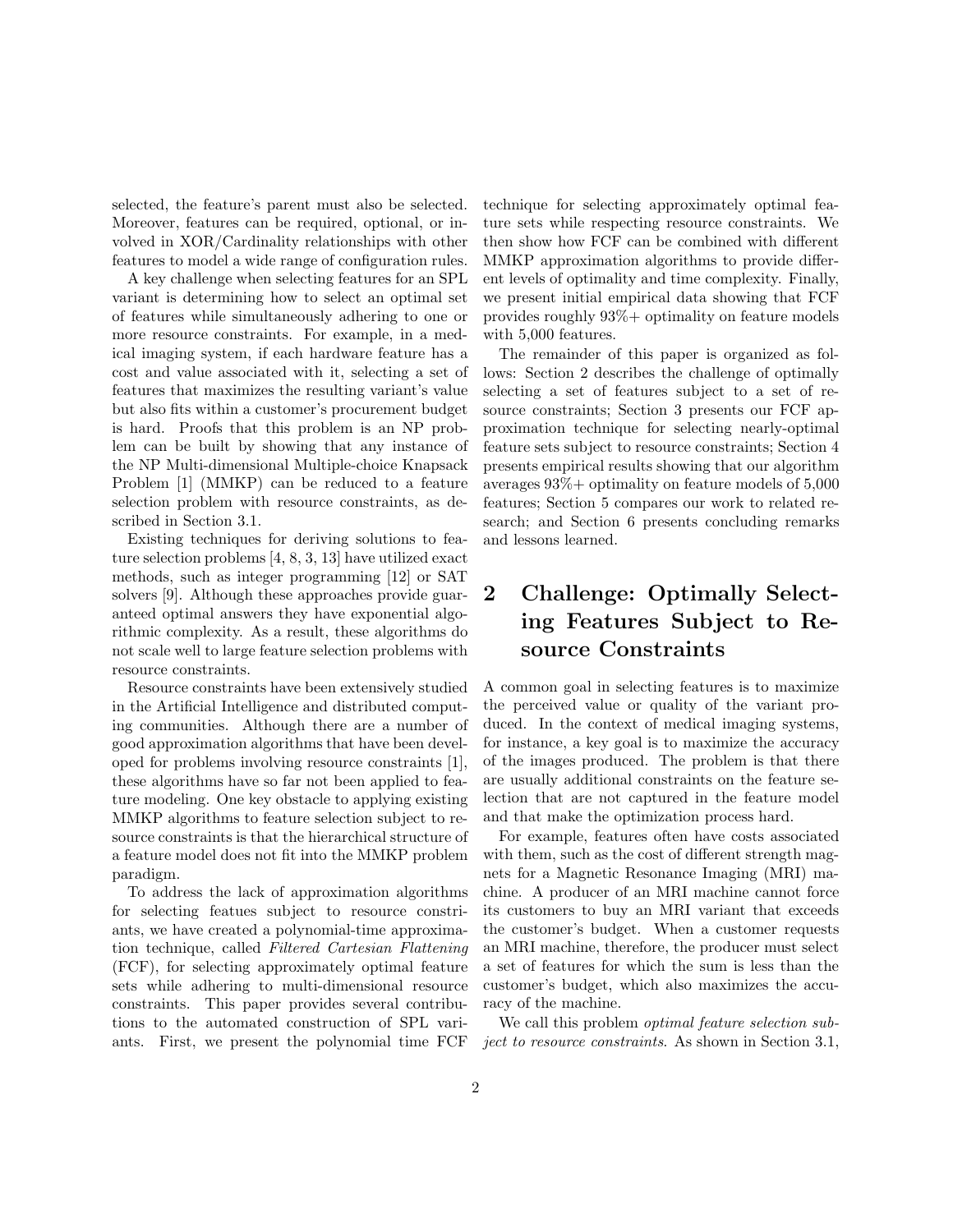selected, the feature's parent must also be selected. Moreover, features can be required, optional, or involved in XOR/Cardinality relationships with other features to model a wide range of configuration rules.

A key challenge when selecting features for an SPL variant is determining how to select an optimal set of features while simultaneously adhering to one or more resource constraints. For example, in a medical imaging system, if each hardware feature has a cost and value associated with it, selecting a set of features that maximizes the resulting variant's value but also fits within a customer's procurement budget is hard. Proofs that this problem is an NP problem can be built by showing that any instance of the NP Multi-dimensional Multiple-choice Knapsack Problem [1] (MMKP) can be reduced to a feature selection problem with resource constraints, as described in Section 3.1.

Existing techniques for deriving solutions to feature selection problems [4, 8, 3, 13] have utilized exact methods, such as integer programming [12] or SAT solvers [9]. Although these approaches provide guaranteed optimal answers they have exponential algorithmic complexity. As a result, these algorithms do not scale well to large feature selection problems with resource constraints.

Resource constraints have been extensively studied in the Artificial Intelligence and distributed computing communities. Although there are a number of good approximation algorithms that have been developed for problems involving resource constraints [1], these algorithms have so far not been applied to feature modeling. One key obstacle to applying existing MMKP algorithms to feature selection subject to resource constraints is that the hierarchical structure of a feature model does not fit into the MMKP problem paradigm.

To address the lack of approximation algorithms for selecting featues subject to resource constriants, we have created a polynomial-time approximation technique, called Filtered Cartesian Flattening (FCF), for selecting approximately optimal feature sets while adhering to multi-dimensional resource constraints. This paper provides several contributions to the automated construction of SPL variants. First, we present the polynomial time FCF technique for selecting approximately optimal feature sets while respecting resource constraints. We then show how FCF can be combined with different MMKP approximation algorithms to provide different levels of optimality and time complexity. Finally, we present initial empirical data showing that FCF provides roughly 93%+ optimality on feature models with 5,000 features.

The remainder of this paper is organized as follows: Section 2 describes the challenge of optimally selecting a set of features subject to a set of resource constraints; Section 3 presents our FCF approximation technique for selecting nearly-optimal feature sets subject to resource constraints; Section 4 presents empirical results showing that our algorithm averages 93%+ optimality on feature models of 5,000 features; Section 5 compares our work to related research; and Section 6 presents concluding remarks and lessons learned.

# 2 Challenge: Optimally Selecting Features Subject to Resource Constraints

A common goal in selecting features is to maximize the perceived value or quality of the variant produced. In the context of medical imaging systems, for instance, a key goal is to maximize the accuracy of the images produced. The problem is that there are usually additional constraints on the feature selection that are not captured in the feature model and that make the optimization process hard.

For example, features often have costs associated with them, such as the cost of different strength magnets for a Magnetic Resonance Imaging (MRI) machine. A producer of an MRI machine cannot force its customers to buy an MRI variant that exceeds the customer's budget. When a customer requests an MRI machine, therefore, the producer must select a set of features for which the sum is less than the customer's budget, which also maximizes the accuracy of the machine.

We call this problem *optimal feature selection sub*ject to resource constraints. As shown in Section 3.1,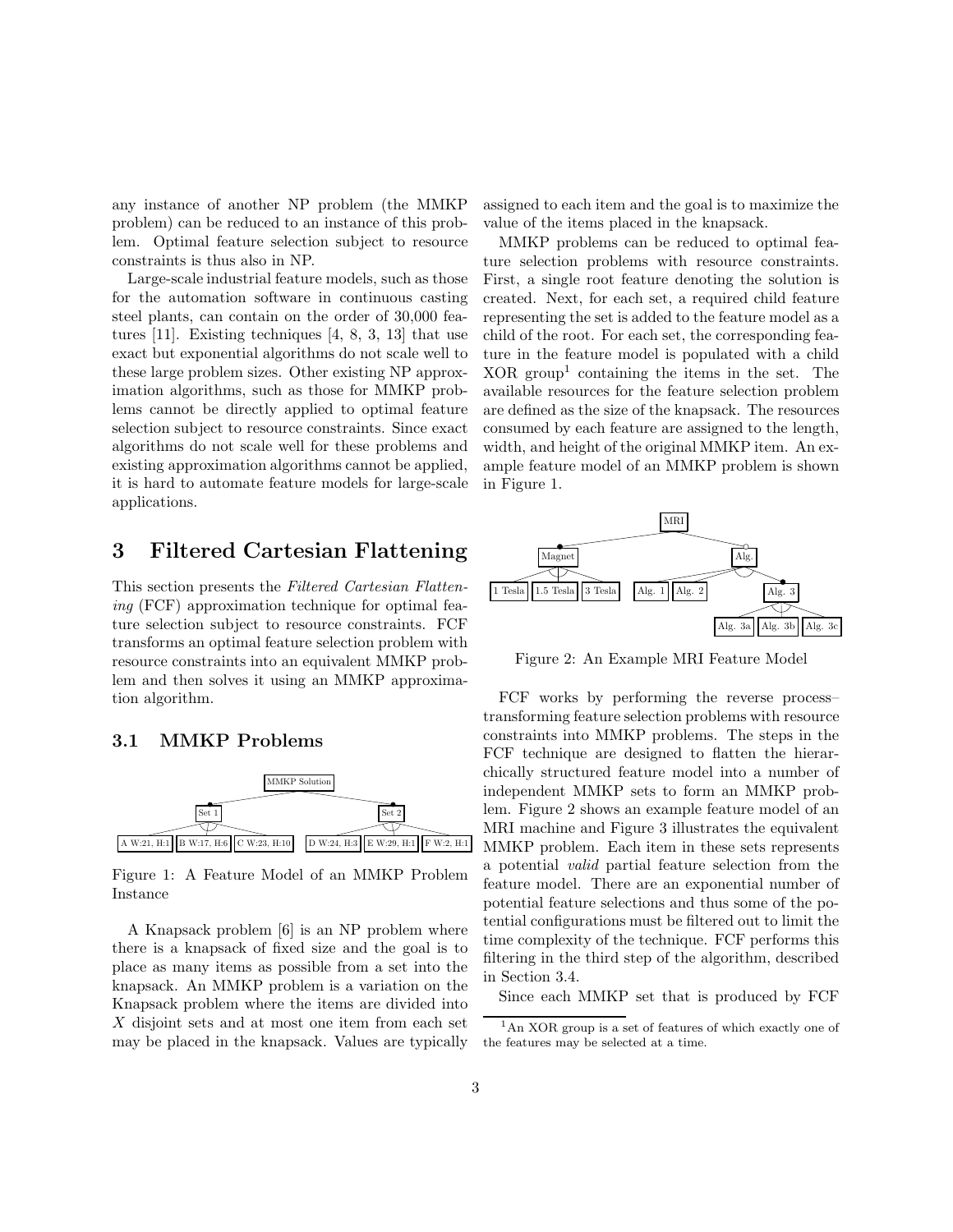any instance of another NP problem (the MMKP problem) can be reduced to an instance of this problem. Optimal feature selection subject to resource constraints is thus also in NP.

Large-scale industrial feature models, such as those for the automation software in continuous casting steel plants, can contain on the order of 30,000 features [11]. Existing techniques [4, 8, 3, 13] that use exact but exponential algorithms do not scale well to these large problem sizes. Other existing NP approximation algorithms, such as those for MMKP problems cannot be directly applied to optimal feature selection subject to resource constraints. Since exact algorithms do not scale well for these problems and existing approximation algorithms cannot be applied, it is hard to automate feature models for large-scale applications.

# 3 Filtered Cartesian Flattening

This section presents the Filtered Cartesian Flattening (FCF) approximation technique for optimal feature selection subject to resource constraints. FCF transforms an optimal feature selection problem with resource constraints into an equivalent MMKP problem and then solves it using an MMKP approximation algorithm.

#### 3.1 MMKP Problems



Figure 1: A Feature Model of an MMKP Problem Instance

A Knapsack problem [6] is an NP problem where there is a knapsack of fixed size and the goal is to place as many items as possible from a set into the knapsack. An MMKP problem is a variation on the Knapsack problem where the items are divided into X disjoint sets and at most one item from each set may be placed in the knapsack. Values are typically

assigned to each item and the goal is to maximize the value of the items placed in the knapsack.

MMKP problems can be reduced to optimal feature selection problems with resource constraints. First, a single root feature denoting the solution is created. Next, for each set, a required child feature representing the set is added to the feature model as a child of the root. For each set, the corresponding feature in the feature model is populated with a child  $XOR$  group<sup>1</sup> containing the items in the set. The available resources for the feature selection problem are defined as the size of the knapsack. The resources consumed by each feature are assigned to the length, width, and height of the original MMKP item. An example feature model of an MMKP problem is shown in Figure 1.



Figure 2: An Example MRI Feature Model

FCF works by performing the reverse process– transforming feature selection problems with resource constraints into MMKP problems. The steps in the FCF technique are designed to flatten the hierarchically structured feature model into a number of independent MMKP sets to form an MMKP problem. Figure 2 shows an example feature model of an MRI machine and Figure 3 illustrates the equivalent MMKP problem. Each item in these sets represents a potential valid partial feature selection from the feature model. There are an exponential number of potential feature selections and thus some of the potential configurations must be filtered out to limit the time complexity of the technique. FCF performs this filtering in the third step of the algorithm, described in Section 3.4.

Since each MMKP set that is produced by FCF

 ${}^{1}$ An XOR group is a set of features of which exactly one of the features may be selected at a time.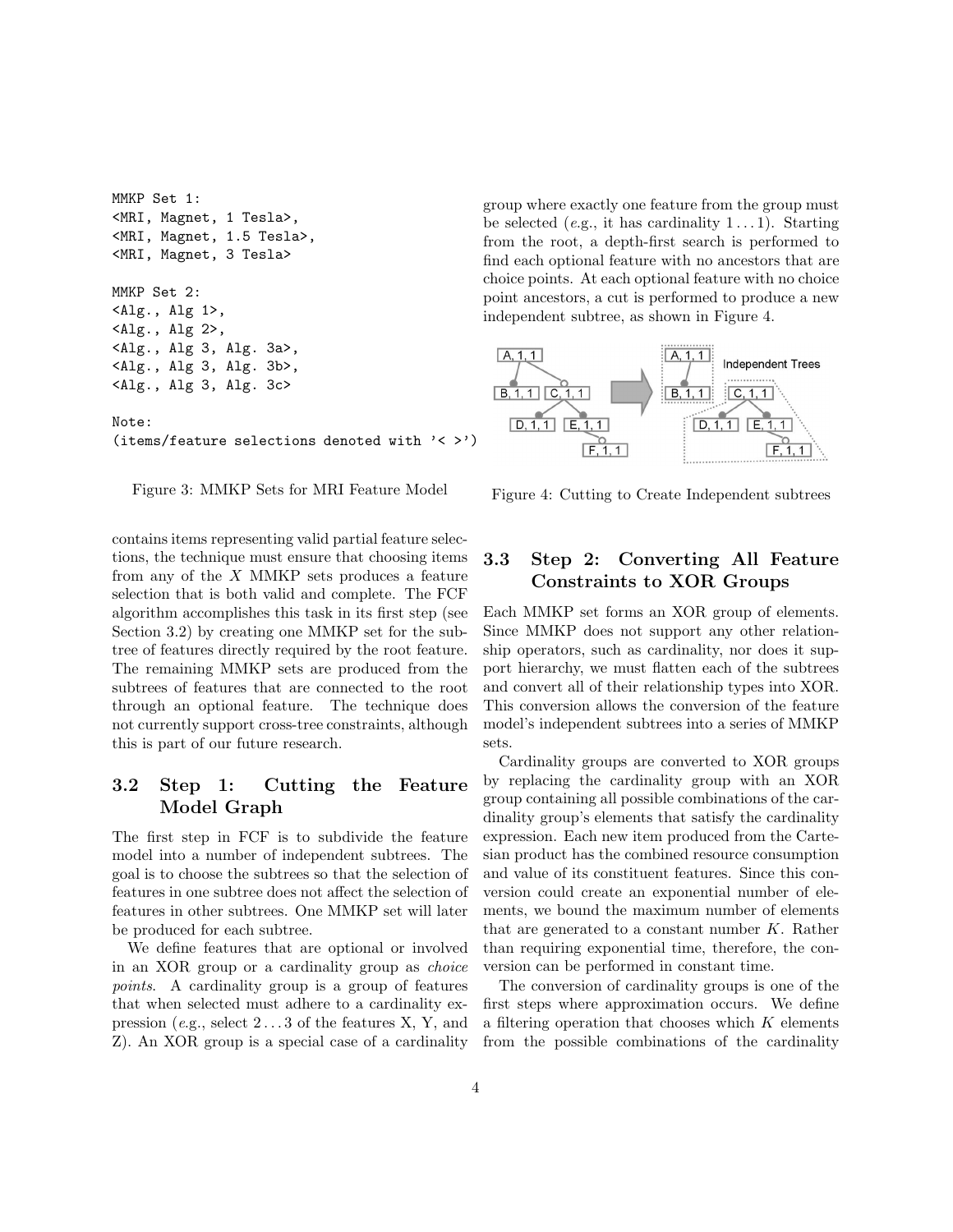```
MMKP Set 1:
<MRI, Magnet, 1 Tesla>,
<MRI, Magnet, 1.5 Tesla>,
<MRI, Magnet, 3 Tesla>
MMKP Set 2:
<Alg., Alg 1>,
<Alg., Alg 2>,
<Alg., Alg 3, Alg. 3a>,
<Alg., Alg 3, Alg. 3b>,
<Alg., Alg 3, Alg. 3c>
Note:
(items/feature selections denoted with '< >')
```


contains items representing valid partial feature selections, the technique must ensure that choosing items from any of the  $X$  MMKP sets produces a feature selection that is both valid and complete. The FCF algorithm accomplishes this task in its first step (see Section 3.2) by creating one MMKP set for the subtree of features directly required by the root feature. The remaining MMKP sets are produced from the subtrees of features that are connected to the root through an optional feature. The technique does not currently support cross-tree constraints, although this is part of our future research.

#### 3.2 Step 1: Cutting the Feature Model Graph

The first step in FCF is to subdivide the feature model into a number of independent subtrees. The goal is to choose the subtrees so that the selection of features in one subtree does not affect the selection of features in other subtrees. One MMKP set will later be produced for each subtree.

We define features that are optional or involved in an XOR group or a cardinality group as choice points. A cardinality group is a group of features that when selected must adhere to a cardinality expression (e.g., select 2 . . . 3 of the features X, Y, and Z). An XOR group is a special case of a cardinality group where exactly one feature from the group must be selected (e.g., it has cardinality  $1 \dots 1$ ). Starting from the root, a depth-first search is performed to find each optional feature with no ancestors that are choice points. At each optional feature with no choice point ancestors, a cut is performed to produce a new independent subtree, as shown in Figure 4.



Figure 4: Cutting to Create Independent subtrees

## 3.3 Step 2: Converting All Feature Constraints to XOR Groups

Each MMKP set forms an XOR group of elements. Since MMKP does not support any other relationship operators, such as cardinality, nor does it support hierarchy, we must flatten each of the subtrees and convert all of their relationship types into XOR. This conversion allows the conversion of the feature model's independent subtrees into a series of MMKP sets.

Cardinality groups are converted to XOR groups by replacing the cardinality group with an XOR group containing all possible combinations of the cardinality group's elements that satisfy the cardinality expression. Each new item produced from the Cartesian product has the combined resource consumption and value of its constituent features. Since this conversion could create an exponential number of elements, we bound the maximum number of elements that are generated to a constant number  $K$ . Rather than requiring exponential time, therefore, the conversion can be performed in constant time.

The conversion of cardinality groups is one of the first steps where approximation occurs. We define a filtering operation that chooses which  $K$  elements from the possible combinations of the cardinality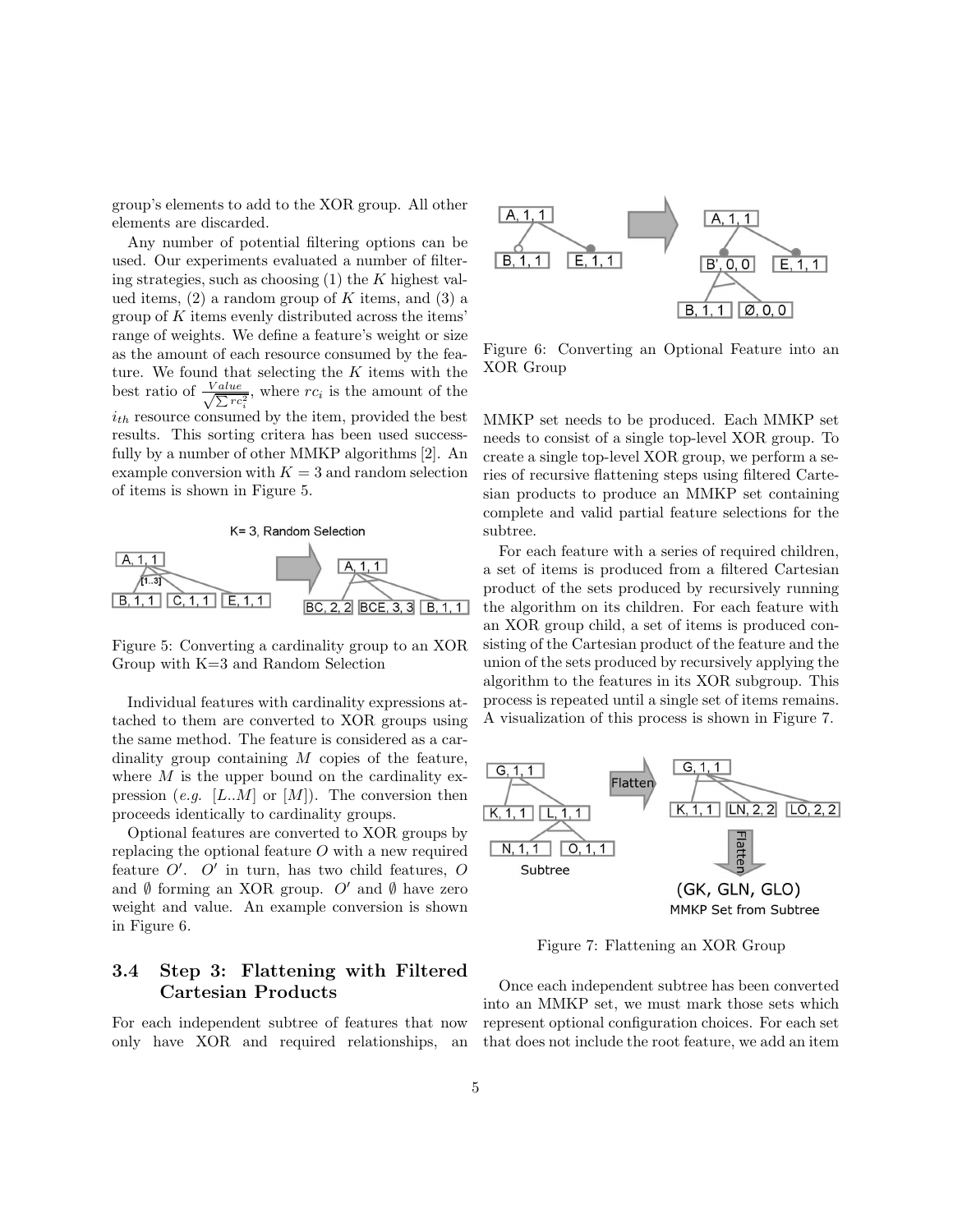group's elements to add to the XOR group. All other elements are discarded.

Any number of potential filtering options can be used. Our experiments evaluated a number of filtering strategies, such as choosing  $(1)$  the K highest valued items,  $(2)$  a random group of K items, and  $(3)$  a group of  $K$  items evenly distributed across the items' range of weights. We define a feature's weight or size as the amount of each resource consumed by the feature. We found that selecting the  $K$  items with the best ratio of  $\frac{Value}{\sqrt{Var}}$  $\frac{Value}{\sum rc_i^2}$ , where  $rc_i$  is the amount of the  $i_{th}$  resource consumed by the item, provided the best results. This sorting critera has been used successfully by a number of other MMKP algorithms [2]. An example conversion with  $K = 3$  and random selection of items is shown in Figure 5.



Figure 5: Converting a cardinality group to an XOR Group with K=3 and Random Selection

Individual features with cardinality expressions attached to them are converted to XOR groups using the same method. The feature is considered as a cardinality group containing M copies of the feature, where  $M$  is the upper bound on the cardinality expression (e.g. [L..M] or [M]). The conversion then proceeds identically to cardinality groups.

Optional features are converted to XOR groups by replacing the optional feature O with a new required feature  $O'$ .  $O'$  in turn, has two child features,  $O$ and  $\emptyset$  forming an XOR group. O' and  $\emptyset$  have zero weight and value. An example conversion is shown in Figure 6.

#### 3.4 Step 3: Flattening with Filtered Cartesian Products

For each independent subtree of features that now only have XOR and required relationships, an



Figure 6: Converting an Optional Feature into an XOR Group

MMKP set needs to be produced. Each MMKP set needs to consist of a single top-level XOR group. To create a single top-level XOR group, we perform a series of recursive flattening steps using filtered Cartesian products to produce an MMKP set containing complete and valid partial feature selections for the subtree.

For each feature with a series of required children, a set of items is produced from a filtered Cartesian product of the sets produced by recursively running the algorithm on its children. For each feature with an XOR group child, a set of items is produced consisting of the Cartesian product of the feature and the union of the sets produced by recursively applying the algorithm to the features in its XOR subgroup. This process is repeated until a single set of items remains. A visualization of this process is shown in Figure 7.



Figure 7: Flattening an XOR Group

Once each independent subtree has been converted into an MMKP set, we must mark those sets which represent optional configuration choices. For each set that does not include the root feature, we add an item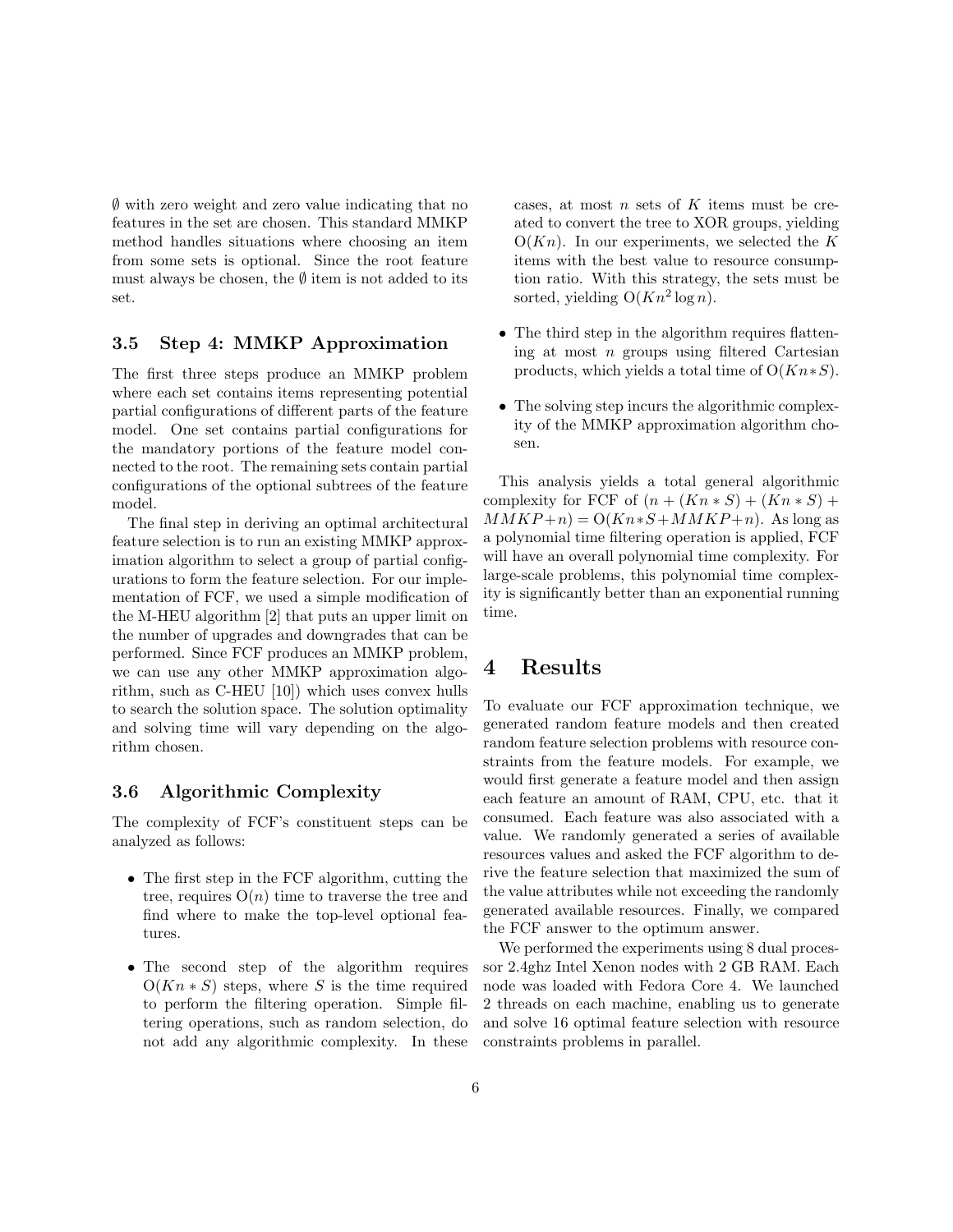∅ with zero weight and zero value indicating that no features in the set are chosen. This standard MMKP method handles situations where choosing an item from some sets is optional. Since the root feature must always be chosen, the  $\emptyset$  item is not added to its set.

#### 3.5 Step 4: MMKP Approximation

The first three steps produce an MMKP problem where each set contains items representing potential partial configurations of different parts of the feature model. One set contains partial configurations for the mandatory portions of the feature model connected to the root. The remaining sets contain partial configurations of the optional subtrees of the feature model.

The final step in deriving an optimal architectural feature selection is to run an existing MMKP approximation algorithm to select a group of partial configurations to form the feature selection. For our implementation of FCF, we used a simple modification of the M-HEU algorithm [2] that puts an upper limit on the number of upgrades and downgrades that can be performed. Since FCF produces an MMKP problem, we can use any other MMKP approximation algorithm, such as C-HEU [10]) which uses convex hulls to search the solution space. The solution optimality and solving time will vary depending on the algorithm chosen.

#### 3.6 Algorithmic Complexity

The complexity of FCF's constituent steps can be analyzed as follows:

- The first step in the FCF algorithm, cutting the tree, requires  $O(n)$  time to traverse the tree and find where to make the top-level optional features.
- The second step of the algorithm requires  $O(Kn * S)$  steps, where S is the time required to perform the filtering operation. Simple filtering operations, such as random selection, do not add any algorithmic complexity. In these

cases, at most  $n$  sets of  $K$  items must be created to convert the tree to XOR groups, yielding  $O(Kn)$ . In our experiments, we selected the K items with the best value to resource consumption ratio. With this strategy, the sets must be sorted, yielding  $O(Kn^2 \log n)$ .

- The third step in the algorithm requires flattening at most  $n$  groups using filtered Cartesian products, which yields a total time of  $O(Kn*S)$ .
- The solving step incurs the algorithmic complexity of the MMKP approximation algorithm chosen.

This analysis yields a total general algorithmic complexity for FCF of  $(n + (Kn * S) + (Kn * S) +$  $MMKP+n) = O(Kn*S+MMKP+n)$ . As long as a polynomial time filtering operation is applied, FCF will have an overall polynomial time complexity. For large-scale problems, this polynomial time complexity is significantly better than an exponential running time.

# 4 Results

To evaluate our FCF approximation technique, we generated random feature models and then created random feature selection problems with resource constraints from the feature models. For example, we would first generate a feature model and then assign each feature an amount of RAM, CPU, etc. that it consumed. Each feature was also associated with a value. We randomly generated a series of available resources values and asked the FCF algorithm to derive the feature selection that maximized the sum of the value attributes while not exceeding the randomly generated available resources. Finally, we compared the FCF answer to the optimum answer.

We performed the experiments using 8 dual processor 2.4ghz Intel Xenon nodes with 2 GB RAM. Each node was loaded with Fedora Core 4. We launched 2 threads on each machine, enabling us to generate and solve 16 optimal feature selection with resource constraints problems in parallel.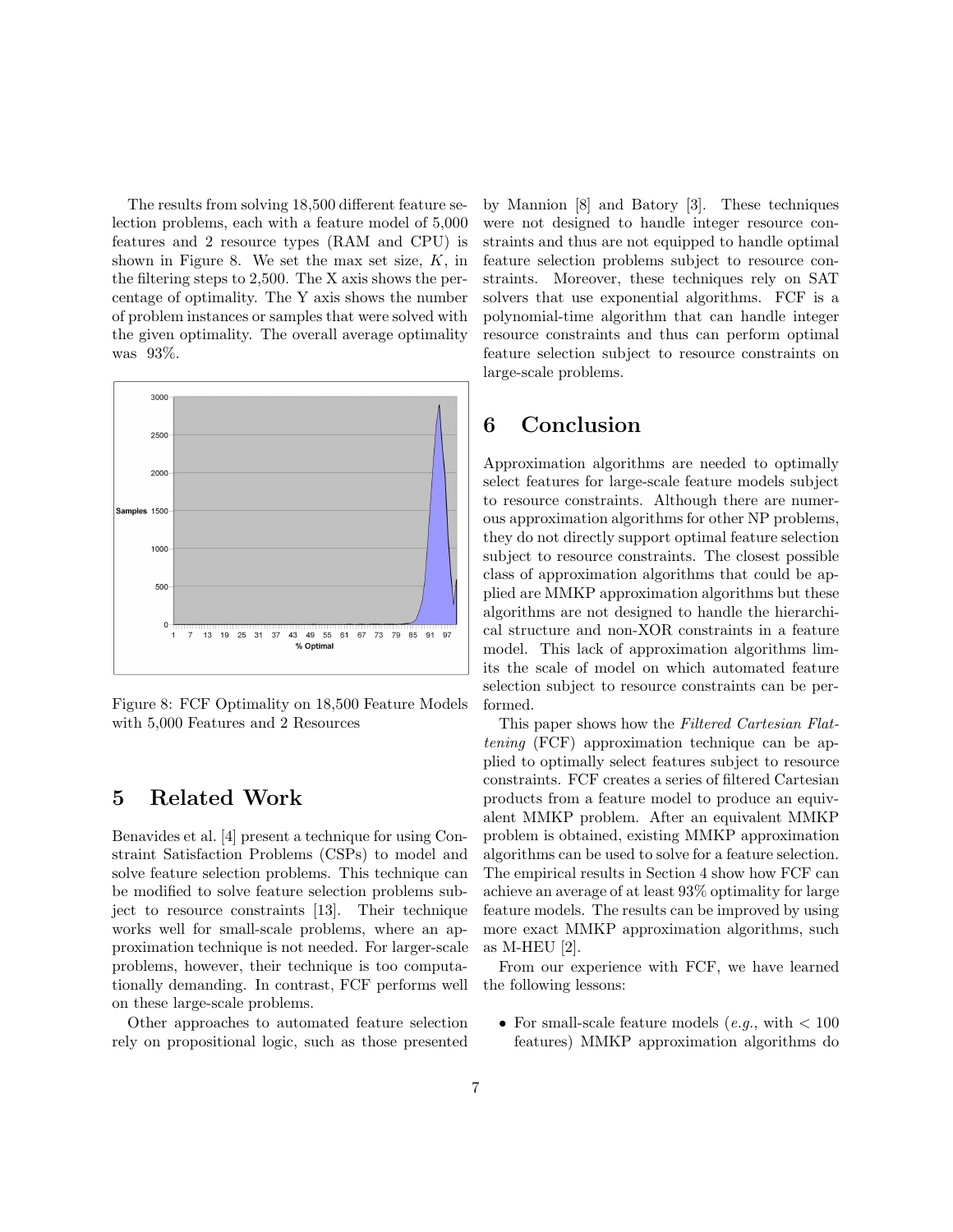The results from solving 18,500 different feature selection problems, each with a feature model of 5,000 features and 2 resource types (RAM and CPU) is shown in Figure 8. We set the max set size,  $K$ , in the filtering steps to 2,500. The X axis shows the percentage of optimality. The Y axis shows the number of problem instances or samples that were solved with the given optimality. The overall average optimality was 93%.



Figure 8: FCF Optimality on 18,500 Feature Models with 5,000 Features and 2 Resources

# 5 Related Work

Benavides et al. [4] present a technique for using Constraint Satisfaction Problems (CSPs) to model and solve feature selection problems. This technique can be modified to solve feature selection problems subject to resource constraints [13]. Their technique works well for small-scale problems, where an approximation technique is not needed. For larger-scale problems, however, their technique is too computationally demanding. In contrast, FCF performs well on these large-scale problems.

Other approaches to automated feature selection rely on propositional logic, such as those presented by Mannion [8] and Batory [3]. These techniques were not designed to handle integer resource constraints and thus are not equipped to handle optimal feature selection problems subject to resource constraints. Moreover, these techniques rely on SAT solvers that use exponential algorithms. FCF is a polynomial-time algorithm that can handle integer resource constraints and thus can perform optimal feature selection subject to resource constraints on large-scale problems.

# 6 Conclusion

Approximation algorithms are needed to optimally select features for large-scale feature models subject to resource constraints. Although there are numerous approximation algorithms for other NP problems, they do not directly support optimal feature selection subject to resource constraints. The closest possible class of approximation algorithms that could be applied are MMKP approximation algorithms but these algorithms are not designed to handle the hierarchical structure and non-XOR constraints in a feature model. This lack of approximation algorithms limits the scale of model on which automated feature selection subject to resource constraints can be performed.

This paper shows how the Filtered Cartesian Flattening (FCF) approximation technique can be applied to optimally select features subject to resource constraints. FCF creates a series of filtered Cartesian products from a feature model to produce an equivalent MMKP problem. After an equivalent MMKP problem is obtained, existing MMKP approximation algorithms can be used to solve for a feature selection. The empirical results in Section 4 show how FCF can achieve an average of at least 93% optimality for large feature models. The results can be improved by using more exact MMKP approximation algorithms, such as M-HEU [2].

From our experience with FCF, we have learned the following lessons:

• For small-scale feature models (e.g., with  $< 100$ ) features) MMKP approximation algorithms do